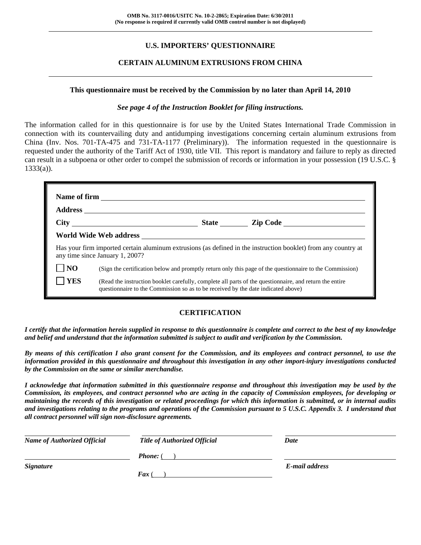# **U.S. IMPORTERS' QUESTIONNAIRE**

# **CERTAIN ALUMINUM EXTRUSIONS FROM CHINA**

#### **This questionnaire must be received by the Commission by no later than April 14, 2010**

#### *See page 4 of the Instruction Booklet for filing instructions.*

The information called for in this questionnaire is for use by the United States International Trade Commission in connection with its countervailing duty and antidumping investigations concerning certain aluminum extrusions from China (Inv. Nos. 701-TA-475 and 731-TA-1177 (Preliminary)). The information requested in the questionnaire is requested under the authority of the Tariff Act of 1930, title VII. This report is mandatory and failure to reply as directed can result in a subpoena or other order to compel the submission of records or information in your possession (19 U.S.C. §  $1333(a)$ ).

|                | any time since January 1, 2007?                                                   |  | Has your firm imported certain aluminum extrusions (as defined in the instruction booklet) from any country at |  |  |  |
|----------------|-----------------------------------------------------------------------------------|--|----------------------------------------------------------------------------------------------------------------|--|--|--|
| N <sub>O</sub> |                                                                                   |  | (Sign the certification below and promptly return only this page of the questionnaire to the Commission)       |  |  |  |
| <b>YES</b>     | questionnaire to the Commission so as to be received by the date indicated above) |  | (Read the instruction booklet carefully, complete all parts of the questionnaire, and return the entire        |  |  |  |

# **CERTIFICATION**

*I certify that the information herein supplied in response to this questionnaire is complete and correct to the best of my knowledge and belief and understand that the information submitted is subject to audit and verification by the Commission.* 

*By means of this certification I also grant consent for the Commission, and its employees and contract personnel, to use the information provided in this questionnaire and throughout this investigation in any other import-injury investigations conducted by the Commission on the same or similar merchandise.* 

*I acknowledge that information submitted in this questionnaire response and throughout this investigation may be used by the Commission, its employees, and contract personnel who are acting in the capacity of Commission employees, for developing or maintaining the records of this investigation or related proceedings for which this information is submitted, or in internal audits and investigations relating to the programs and operations of the Commission pursuant to 5 U.S.C. Appendix 3. I understand that all contract personnel will sign non-disclosure agreements.* 

| <b>Name of Authorized Official</b> | <b>Title of Authorized Official</b> | Date           |
|------------------------------------|-------------------------------------|----------------|
|                                    | <b>Phone:</b> (                     |                |
| <b>Signature</b>                   |                                     | E-mail address |
|                                    | <b>Fax</b> (                        |                |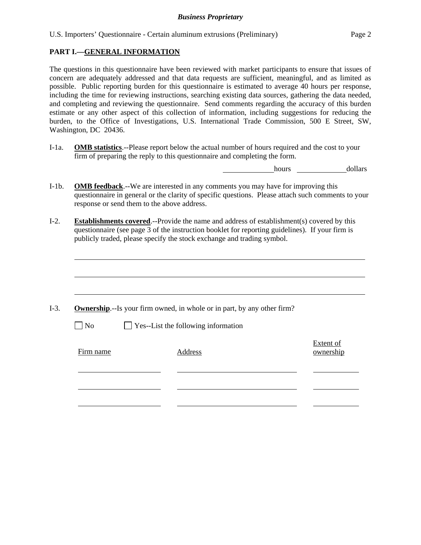# **PART I.—GENERAL INFORMATION**

l

The questions in this questionnaire have been reviewed with market participants to ensure that issues of concern are adequately addressed and that data requests are sufficient, meaningful, and as limited as possible. Public reporting burden for this questionnaire is estimated to average 40 hours per response, including the time for reviewing instructions, searching existing data sources, gathering the data needed, and completing and reviewing the questionnaire. Send comments regarding the accuracy of this burden estimate or any other aspect of this collection of information, including suggestions for reducing the burden, to the Office of Investigations, U.S. International Trade Commission, 500 E Street, SW, Washington, DC 20436.

I-1a. **OMB statistics**.--Please report below the actual number of hours required and the cost to your firm of preparing the reply to this questionnaire and completing the form.

hours dollars

- I-1b. **OMB feedback**.--We are interested in any comments you may have for improving this questionnaire in general or the clarity of specific questions. Please attach such comments to your response or send them to the above address.
- I-2. **Establishments covered**.--Provide the name and address of establishment(s) covered by this questionnaire (see page 3 of the instruction booklet for reporting guidelines). If your firm is publicly traded, please specify the stock exchange and trading symbol.

|           | <b>Ownership.</b> --Is your firm owned, in whole or in part, by any other firm? |                        |
|-----------|---------------------------------------------------------------------------------|------------------------|
| $\neg$ No | $\Box$ Yes--List the following information                                      |                        |
| Firm name | Address                                                                         | Extent of<br>ownership |
|           |                                                                                 |                        |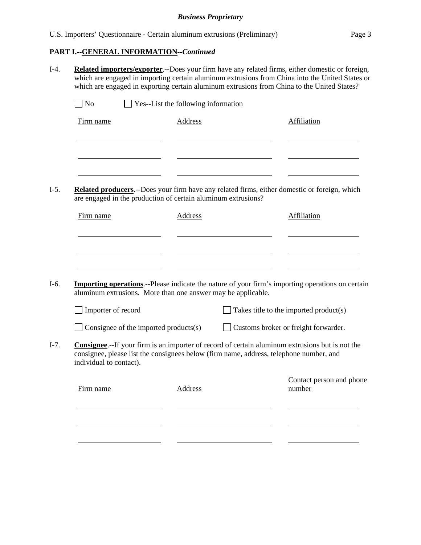# **PART I.--GENERAL INFORMATION***--Continued*

l

l

- I-4. **Related importers/exporter**.--Does your firm have any related firms, either domestic or foreign, which are engaged in importing certain aluminum extrusions from China into the United States or which are engaged in exporting certain aluminum extrusions from China to the United States?  $\Box$  No  $\Box$  Yes--List the following information Firm name Address Address Affiliation l <u> 1990 - Johann Barbara, martin a</u> l l  $\sim$ I-5. **Related producers**.--Does your firm have any related firms, either domestic or foreign, which are engaged in the production of certain aluminum extrusions? Firm name Address Address Affiliation l
- I-6. **Importing operations**.--Please indicate the nature of your firm's importing operations on certain aluminum extrusions. More than one answer may be applicable.

| Importer of record                           | $\Box$ Takes title to the imported product(s) |
|----------------------------------------------|-----------------------------------------------|
| $\Box$ Consignee of the imported products(s) | Customs broker or freight forwarder.          |

I-7. **Consignee**.--If your firm is an importer of record of certain aluminum extrusions but is not the consignee, please list the consignees below (firm name, address, telephone number, and individual to contact).

| Firm name | Address | Contact person and phone<br>number |
|-----------|---------|------------------------------------|
|           |         |                                    |
|           |         |                                    |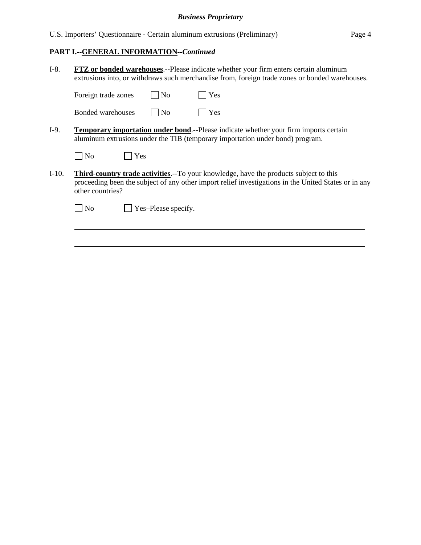U.S. Importers' Questionnaire - Certain aluminum extrusions (Preliminary) Page 4

# **PART I.--GENERAL INFORMATION***--Continued*

l

| $I-8.$  | <b>FTZ</b> or bonded warehouses.--Please indicate whether your firm enters certain aluminum<br>extrusions into, or withdraws such merchandise from, foreign trade zones or bonded warehouses.                             |  |  |  |
|---------|---------------------------------------------------------------------------------------------------------------------------------------------------------------------------------------------------------------------------|--|--|--|
|         | $\overline{\rm No}$<br>Yes<br>Foreign trade zones                                                                                                                                                                         |  |  |  |
|         | Yes<br>Bonded warehouses<br>$\overline{\phantom{a}}$ No                                                                                                                                                                   |  |  |  |
| $I-9.$  | <b>Temporary importation under bond.</b> --Please indicate whether your firm imports certain<br>aluminum extrusions under the TIB (temporary importation under bond) program.                                             |  |  |  |
|         | Yes<br>$\overline{N}$                                                                                                                                                                                                     |  |  |  |
| $I-10.$ | <b>Third-country trade activities.</b> --To your knowledge, have the products subject to this<br>proceeding been the subject of any other import relief investigations in the United States or in any<br>other countries? |  |  |  |
|         | Yes-Please specify.<br>No                                                                                                                                                                                                 |  |  |  |
|         |                                                                                                                                                                                                                           |  |  |  |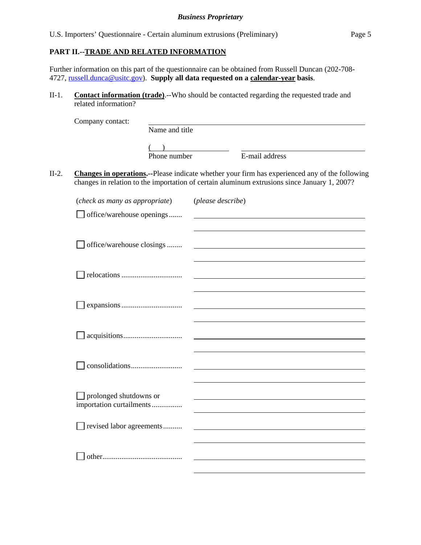# **PART II.--TRADE AND RELATED INFORMATION**

Further information on this part of the questionnaire can be obtained from Russell Duncan (202-708- 4727, russell.dunca@usitc.gov). **Supply all data requested on a calendar-year basis**.

II-1. **Contact information (trade)**.--Who should be contacted regarding the requested trade and related information?

|         | Company contact:                                   |                |                   |                                                                                                                                                                                                |
|---------|----------------------------------------------------|----------------|-------------------|------------------------------------------------------------------------------------------------------------------------------------------------------------------------------------------------|
|         |                                                    | Name and title |                   |                                                                                                                                                                                                |
|         |                                                    |                |                   |                                                                                                                                                                                                |
|         |                                                    | Phone number   |                   | E-mail address                                                                                                                                                                                 |
| $II-2.$ |                                                    |                |                   | Changes in operations.--Please indicate whether your firm has experienced any of the following<br>changes in relation to the importation of certain aluminum extrusions since January 1, 2007? |
|         | (check as many as appropriate)                     |                | (please describe) |                                                                                                                                                                                                |
|         | $\Box$ office/warehouse openings                   |                |                   |                                                                                                                                                                                                |
|         | office/warehouse closings                          |                |                   |                                                                                                                                                                                                |
|         |                                                    |                |                   |                                                                                                                                                                                                |
|         |                                                    |                |                   |                                                                                                                                                                                                |
|         |                                                    |                |                   |                                                                                                                                                                                                |
|         |                                                    |                |                   |                                                                                                                                                                                                |
|         | prolonged shutdowns or<br>importation curtailments |                |                   |                                                                                                                                                                                                |
|         | revised labor agreements                           |                |                   |                                                                                                                                                                                                |
|         |                                                    |                |                   |                                                                                                                                                                                                |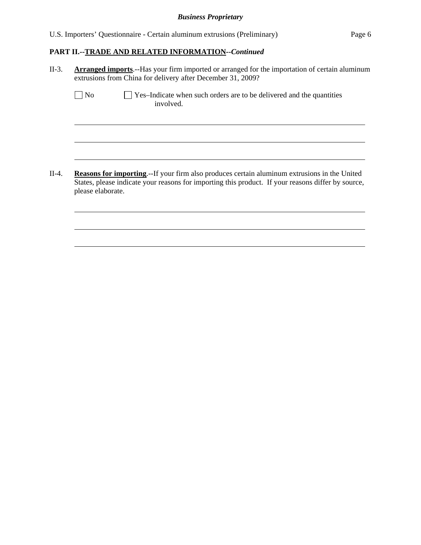U.S. Importers' Questionnaire - Certain aluminum extrusions (Preliminary) Page 6

# **PART II.--TRADE AND RELATED INFORMATION***--Continued*

II-3. **Arranged imports**.--Has your firm imported or arranged for the importation of certain aluminum extrusions from China for delivery after December 31, 2009?

l

l

l

l

l

l

 $\Box$  No  $\Box$  Yes–Indicate when such orders are to be delivered and the quantities involved.

II-4. **Reasons for importing**.--If your firm also produces certain aluminum extrusions in the United States, please indicate your reasons for importing this product. If your reasons differ by source, please elaborate.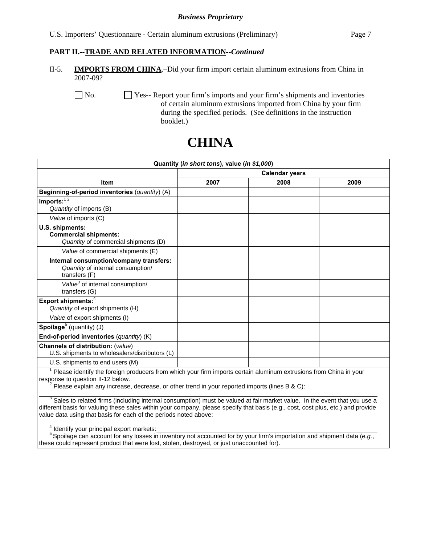#### **PART II.--TRADE AND RELATED INFORMATION***--Continued*

II-5. **IMPORTS FROM CHINA**.–Did your firm import certain aluminum extrusions from China in 2007-09?

 No. Yes-- Report your firm's imports and your firm's shipments and inventories of certain aluminum extrusions imported from China by your firm during the specified periods. (See definitions in the instruction booklet.)

# **CHINA**

| Quantity (in short tons), value (in \$1,000)                                                                                                           |                       |      |      |  |
|--------------------------------------------------------------------------------------------------------------------------------------------------------|-----------------------|------|------|--|
|                                                                                                                                                        | <b>Calendar years</b> |      |      |  |
| <b>Item</b>                                                                                                                                            | 2007                  | 2008 | 2009 |  |
| Beginning-of-period inventories (quantity) (A)                                                                                                         |                       |      |      |  |
| Imports: $1\overline{2}$<br>Quantity of imports (B)                                                                                                    |                       |      |      |  |
| Value of imports (C)                                                                                                                                   |                       |      |      |  |
| U.S. shipments:<br><b>Commercial shipments:</b><br>Quantity of commercial shipments (D)                                                                |                       |      |      |  |
| Value of commercial shipments (E)                                                                                                                      |                       |      |      |  |
| Internal consumption/company transfers:<br>Quantity of internal consumption/<br>transfers (F)                                                          |                       |      |      |  |
| Value <sup>3</sup> of internal consumption/<br>transfers (G)                                                                                           |                       |      |      |  |
| Export shipments: <sup>4</sup><br>Quantity of export shipments (H)                                                                                     |                       |      |      |  |
| Value of export shipments (I)                                                                                                                          |                       |      |      |  |
| Spoilage <sup>5</sup> (quantity) $(J)$                                                                                                                 |                       |      |      |  |
| End-of-period inventories (quantity) (K)                                                                                                               |                       |      |      |  |
| Channels of distribution: (value)<br>U.S. shipments to wholesalers/distributors (L)                                                                    |                       |      |      |  |
| U.S. shipments to end users (M)                                                                                                                        |                       |      |      |  |
| Please identify the foreign producers from which your firm imports certain aluminum extrusions from China in your<br>response to question II-12 below. |                       |      |      |  |

<sup>2</sup> Please explain any increase, decrease, or other trend in your reported imports (lines B & C):

 $\overline{\phantom{0}}$  3  $3$  Sales to related firms (including internal consumption) must be valued at fair market value. In the event that you use a different basis for valuing these sales within your company, please specify that basis (e.g., cost, cost plus, etc.) and provide value data using that basis for each of the periods noted above:

 $\overline{4}$  $4$  Identify your principal export markets:

5 Spoilage can account for any losses in inventory not accounted for by your firm's importation and shipment data (*e.g.*, these could represent product that were lost, stolen, destroyed, or just unaccounted for).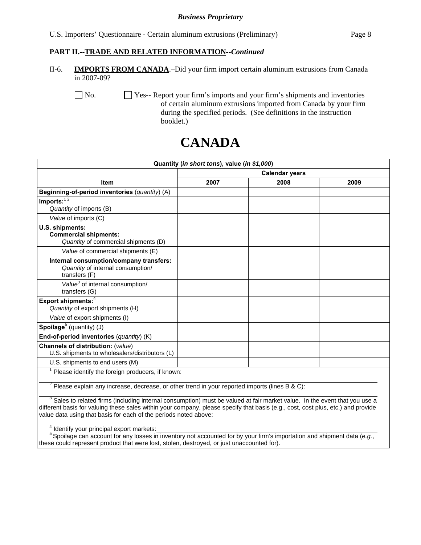# **PART II.--TRADE AND RELATED INFORMATION***--Continued*

II-6. **IMPORTS FROM CANADA**.–Did your firm import certain aluminum extrusions from Canada in 2007-09?

No.  $\Box$  Yes-- Report your firm's imports and your firm's shipments and inventories of certain aluminum extrusions imported from Canada by your firm during the specified periods. (See definitions in the instruction booklet.)

# **CANADA**

| Quantity (in short tons), value (in \$1,000)                                                                                                                                                                                                                                                                                                                                                    |                       |      |      |  |
|-------------------------------------------------------------------------------------------------------------------------------------------------------------------------------------------------------------------------------------------------------------------------------------------------------------------------------------------------------------------------------------------------|-----------------------|------|------|--|
|                                                                                                                                                                                                                                                                                                                                                                                                 | <b>Calendar years</b> |      |      |  |
| <b>Item</b>                                                                                                                                                                                                                                                                                                                                                                                     | 2007                  | 2008 | 2009 |  |
| Beginning-of-period inventories (quantity) (A)                                                                                                                                                                                                                                                                                                                                                  |                       |      |      |  |
| $Imports:$ <sup>12</sup>                                                                                                                                                                                                                                                                                                                                                                        |                       |      |      |  |
| Quantity of imports (B)                                                                                                                                                                                                                                                                                                                                                                         |                       |      |      |  |
| Value of imports (C)                                                                                                                                                                                                                                                                                                                                                                            |                       |      |      |  |
| U.S. shipments:<br><b>Commercial shipments:</b><br>Quantity of commercial shipments (D)                                                                                                                                                                                                                                                                                                         |                       |      |      |  |
| Value of commercial shipments (E)                                                                                                                                                                                                                                                                                                                                                               |                       |      |      |  |
| Internal consumption/company transfers:<br>Quantity of internal consumption/<br>transfers (F)                                                                                                                                                                                                                                                                                                   |                       |      |      |  |
| Value <sup>3</sup> of internal consumption/<br>transfers $(G)$                                                                                                                                                                                                                                                                                                                                  |                       |      |      |  |
| Export shipments: <sup>4</sup><br>Quantity of export shipments (H)                                                                                                                                                                                                                                                                                                                              |                       |      |      |  |
| Value of export shipments (I)                                                                                                                                                                                                                                                                                                                                                                   |                       |      |      |  |
| Spoilage <sup>5</sup> (quantity) (J)                                                                                                                                                                                                                                                                                                                                                            |                       |      |      |  |
| End-of-period inventories (quantity) (K)                                                                                                                                                                                                                                                                                                                                                        |                       |      |      |  |
| Channels of distribution: (value)<br>U.S. shipments to wholesalers/distributors (L)                                                                                                                                                                                                                                                                                                             |                       |      |      |  |
| U.S. shipments to end users (M)                                                                                                                                                                                                                                                                                                                                                                 |                       |      |      |  |
| <sup>1</sup> Please identify the foreign producers, if known:                                                                                                                                                                                                                                                                                                                                   |                       |      |      |  |
| $2$ Please explain any increase, decrease, or other trend in your reported imports (lines B & C):                                                                                                                                                                                                                                                                                               |                       |      |      |  |
| <sup>3</sup> Sales to related firms (including internal consumption) must be valued at fair market value. In the event that you use a<br>different basis for valuing these sales within your company, please specify that basis (e.g., cost, cost plus, etc.) and provide<br>value data using that basis for each of the periods noted above:<br>$^4$ Identify your pripainal over the problems |                       |      |      |  |

 $4$  Identify your principal export markets:

5 Spoilage can account for any losses in inventory not accounted for by your firm's importation and shipment data (*e.g.*, these could represent product that were lost, stolen, destroyed, or just unaccounted for).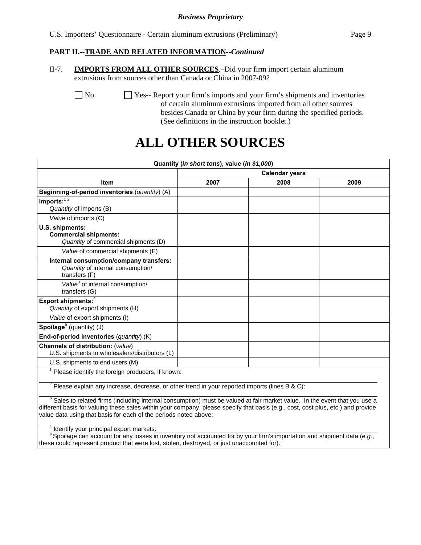U.S. Importers' Questionnaire - Certain aluminum extrusions (Preliminary) Page 9

## **PART II.--TRADE AND RELATED INFORMATION***--Continued*

II-7. **IMPORTS FROM ALL OTHER SOURCES**.–Did your firm import certain aluminum extrusions from sources other than Canada or China in 2007-09?

 No. Yes-- Report your firm's imports and your firm's shipments and inventories of certain aluminum extrusions imported from all other sources besides Canada or China by your firm during the specified periods. (See definitions in the instruction booklet.)

# **ALL OTHER SOURCES**

| Quantity (in short tons), value (in \$1,000)                                                                                                                                                                                                                                                                                                                                                          |                       |      |      |  |
|-------------------------------------------------------------------------------------------------------------------------------------------------------------------------------------------------------------------------------------------------------------------------------------------------------------------------------------------------------------------------------------------------------|-----------------------|------|------|--|
|                                                                                                                                                                                                                                                                                                                                                                                                       | <b>Calendar years</b> |      |      |  |
| <b>Item</b>                                                                                                                                                                                                                                                                                                                                                                                           | 2007                  | 2008 | 2009 |  |
| Beginning-of-period inventories (quantity) (A)                                                                                                                                                                                                                                                                                                                                                        |                       |      |      |  |
| Imports: $12$<br>Quantity of imports (B)                                                                                                                                                                                                                                                                                                                                                              |                       |      |      |  |
| Value of imports (C)                                                                                                                                                                                                                                                                                                                                                                                  |                       |      |      |  |
| U.S. shipments:<br><b>Commercial shipments:</b><br>Quantity of commercial shipments (D)                                                                                                                                                                                                                                                                                                               |                       |      |      |  |
| Value of commercial shipments (E)                                                                                                                                                                                                                                                                                                                                                                     |                       |      |      |  |
| Internal consumption/company transfers:<br>Quantity of internal consumption/<br>transfers (F)                                                                                                                                                                                                                                                                                                         |                       |      |      |  |
| Value <sup>3</sup> of internal consumption/<br>transfers (G)                                                                                                                                                                                                                                                                                                                                          |                       |      |      |  |
| Export shipments: <sup>4</sup><br>Quantity of export shipments (H)                                                                                                                                                                                                                                                                                                                                    |                       |      |      |  |
| Value of export shipments (I)                                                                                                                                                                                                                                                                                                                                                                         |                       |      |      |  |
| Spoilage <sup>5</sup> (quantity) (J)                                                                                                                                                                                                                                                                                                                                                                  |                       |      |      |  |
| End-of-period inventories (quantity) (K)                                                                                                                                                                                                                                                                                                                                                              |                       |      |      |  |
| Channels of distribution: (value)<br>U.S. shipments to wholesalers/distributors (L)                                                                                                                                                                                                                                                                                                                   |                       |      |      |  |
| U.S. shipments to end users (M)                                                                                                                                                                                                                                                                                                                                                                       |                       |      |      |  |
| Please identify the foreign producers, if known:                                                                                                                                                                                                                                                                                                                                                      |                       |      |      |  |
| $2$ Please explain any increase, decrease, or other trend in your reported imports (lines B & C):                                                                                                                                                                                                                                                                                                     |                       |      |      |  |
| <sup>3</sup> Sales to related firms (including internal consumption) must be valued at fair market value. In the event that you use a<br>different basis for valuing these sales within your company, please specify that basis (e.g., cost, cost plus, etc.) and provide<br>value data using that basis for each of the periods noted above:<br><sup>4</sup> Identify your principal export markets: |                       |      |      |  |

5 Spoilage can account for any losses in inventory not accounted for by your firm's importation and shipment data (*e.g.*, these could represent product that were lost, stolen, destroyed, or just unaccounted for).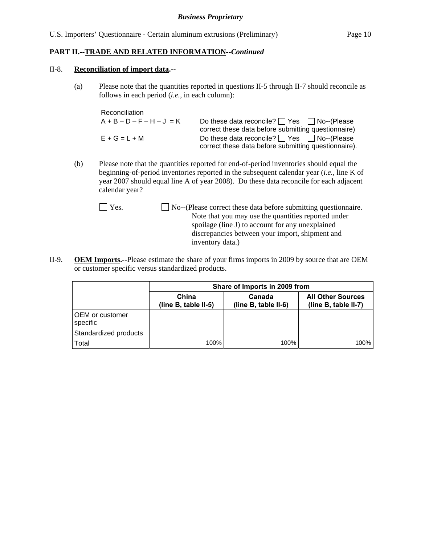#### II-8. **Reconciliation of import data.--**

(a) Please note that the quantities reported in questions II-5 through II-7 should reconcile as follows in each period (*i.e.*, in each column):

| Reconciliation              |                                                        |
|-----------------------------|--------------------------------------------------------|
| $A + B - D - F - H - J = K$ | Do these data reconcile? $\Box$ Yes $\Box$ No--(Please |
|                             | correct these data before submitting questionnaire)    |
| $E+G=L+M$                   | Do these data reconcile? $\Box$ Yes $\Box$ No--(Please |
|                             | correct these data before submitting questionnaire).   |

- (b) Please note that the quantities reported for end-of-period inventories should equal the beginning-of-period inventories reported in the subsequent calendar year (*i.e.*, line K of year 2007 should equal line A of year 2008). Do these data reconcile for each adjacent calendar year?
	- Yes. No--(Please correct these data before submitting questionnaire. Note that you may use the quantities reported under spoilage (line J) to account for any unexplained discrepancies between your import, shipment and inventory data.)
- II-9. **OEM Imports.--**Please estimate the share of your firms imports in 2009 by source that are OEM or customer specific versus standardized products.

|                             | Share of Imports in 2009 from |                                |                                                  |  |
|-----------------------------|-------------------------------|--------------------------------|--------------------------------------------------|--|
|                             | China<br>(line B, table II-5) | Canada<br>(line B, table II-6) | <b>All Other Sources</b><br>(line B, table II-7) |  |
| OEM or customer<br>specific |                               |                                |                                                  |  |
| Standardized products       |                               |                                |                                                  |  |
| Total                       | 100%                          | 100%                           | 100%                                             |  |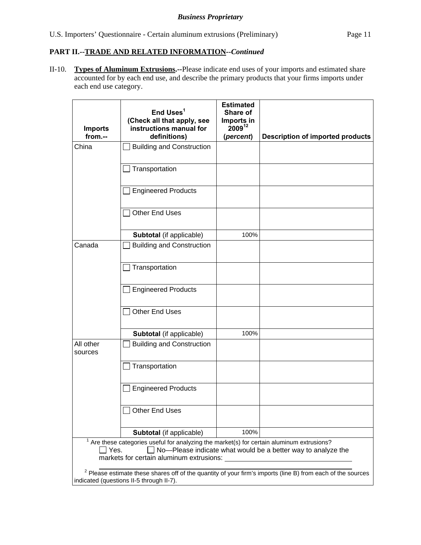II-10. **Types of Aluminum Extrusions.--**Please indicate end uses of your imports and estimated share accounted for by each end use, and describe the primary products that your firms imports under each end use category.

|                      | End Uses <sup>1</sup><br>(Check all that apply, see                                                                                  | <b>Estimated</b><br>Share of<br>Imports in |                                                                                                               |
|----------------------|--------------------------------------------------------------------------------------------------------------------------------------|--------------------------------------------|---------------------------------------------------------------------------------------------------------------|
| <b>Imports</b>       | instructions manual for                                                                                                              | 200912                                     |                                                                                                               |
| from.--              | definitions)                                                                                                                         | (percent)                                  | <b>Description of imported products</b>                                                                       |
| China                | <b>Building and Construction</b>                                                                                                     |                                            |                                                                                                               |
|                      |                                                                                                                                      |                                            |                                                                                                               |
|                      | Transportation                                                                                                                       |                                            |                                                                                                               |
|                      | <b>Engineered Products</b>                                                                                                           |                                            |                                                                                                               |
|                      | <b>Other End Uses</b>                                                                                                                |                                            |                                                                                                               |
|                      | Subtotal (if applicable)                                                                                                             | 100%                                       |                                                                                                               |
| Canada               | <b>Building and Construction</b>                                                                                                     |                                            |                                                                                                               |
|                      | Transportation                                                                                                                       |                                            |                                                                                                               |
|                      | <b>Engineered Products</b>                                                                                                           |                                            |                                                                                                               |
|                      | <b>Other End Uses</b>                                                                                                                |                                            |                                                                                                               |
|                      | Subtotal (if applicable)                                                                                                             | 100%                                       |                                                                                                               |
| All other<br>sources | <b>Building and Construction</b>                                                                                                     |                                            |                                                                                                               |
|                      | Transportation                                                                                                                       |                                            |                                                                                                               |
|                      | <b>Engineered Products</b>                                                                                                           |                                            |                                                                                                               |
|                      | <b>Other End Uses</b>                                                                                                                |                                            |                                                                                                               |
|                      | Subtotal (if applicable)                                                                                                             | 100%                                       |                                                                                                               |
| Yes.                 | Are these categories useful for analyzing the market(s) for certain aluminum extrusions?<br>markets for certain aluminum extrusions: |                                            | No-Please indicate what would be a better way to analyze the                                                  |
|                      | indicated (questions II-5 through II-7).                                                                                             |                                            | $2$ Please estimate these shares off of the quantity of your firm's imports (line B) from each of the sources |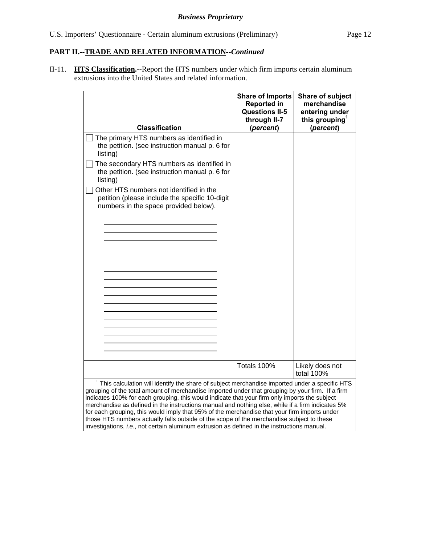II-11. **HTS Classification.--**Report the HTS numbers under which firm imports certain aluminum extrusions into the United States and related information.

| <b>Classification</b>                                                                                                                                                                                 | <b>Share of Imports</b><br><b>Reported in</b><br><b>Questions II-5</b><br>through II-7<br>(percent) | Share of subject<br>merchandise<br>entering under<br>this grouping $^1$<br>(percent) |
|-------------------------------------------------------------------------------------------------------------------------------------------------------------------------------------------------------|-----------------------------------------------------------------------------------------------------|--------------------------------------------------------------------------------------|
| The primary HTS numbers as identified in<br>the petition. (see instruction manual p. 6 for<br>listing)                                                                                                |                                                                                                     |                                                                                      |
| The secondary HTS numbers as identified in<br>the petition. (see instruction manual p. 6 for<br>listing)                                                                                              |                                                                                                     |                                                                                      |
| Other HTS numbers not identified in the<br>petition (please include the specific 10-digit<br>numbers in the space provided below).                                                                    | Totals 100%                                                                                         | Likely does not                                                                      |
|                                                                                                                                                                                                       |                                                                                                     | total 100%                                                                           |
| $1$ This calculation will identify the share of subject merchandise imported under a specific HTS<br>grouping of the total amount of merchandise imported under that grouping by your firm. If a firm |                                                                                                     |                                                                                      |

indicates 100% for each grouping, this would indicate that your firm only imports the subject merchandise as defined in the instructions manual and nothing else, while if a firm indicates 5% for each grouping, this would imply that 95% of the merchandise that your firm imports under those HTS numbers actually falls outside of the scope of the merchandise subject to these investigations, *i.e.*, not certain aluminum extrusion as defined in the instructions manual.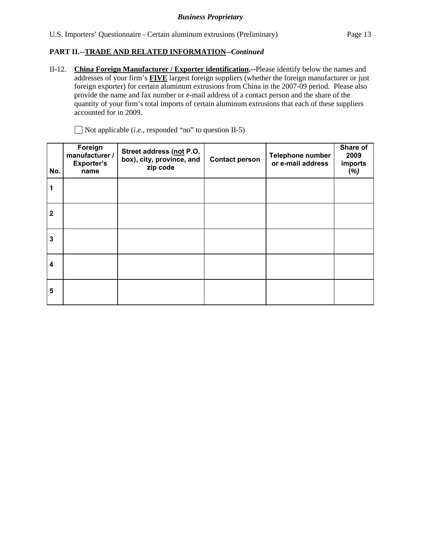II-12. **China Foreign Manufacturer / Exporter identification.--**Please identify below the names and addresses of your firm's **FIVE** largest foreign suppliers (whether the foreign manufacturer or just foreign exporter) for certain aluminum extrusions from China in the 2007-09 period. Please also provide the name and fax number or e-mail address of a contact person and the share of the quantity of your firm's total imports of certain aluminum extrusions that each of these suppliers accounted for in 2009.

**No. Foreign manufacturer / Exporter's name Street address (not P.O. box), city, province, and zip code Contact person Telephone number or e-mail address Share of 2009 imports (***%)* **1 2 3 4 5**

Not applicable (*i.e.*, responded "no" to question II-5)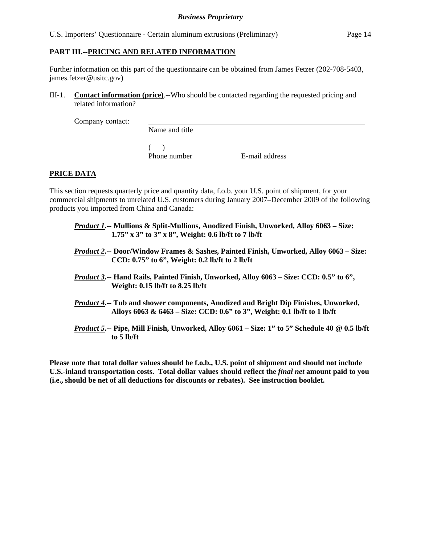# **PART III.--PRICING AND RELATED INFORMATION**

Further information on this part of the questionnaire can be obtained from James Fetzer (202-708-5403, james.fetzer@usitc.gov)

III-1. **Contact information (price)**.--Who should be contacted regarding the requested pricing and related information?

Company contact:

Name and title

 $($ Phone number E-mail address

# **PRICE DATA**

This section requests quarterly price and quantity data, f.o.b. your U.S. point of shipment, for your commercial shipments to unrelated U.S. customers during January 2007–December 2009 of the following products you imported from China and Canada:

- *Product 1***.-- Mullions & Split-Mullions, Anodized Finish, Unworked, Alloy 6063 Size: 1.75" x 3" to 3" x 8", Weight: 0.6 lb/ft to 7 lb/ft**
- *Product 2***.-- Door/Window Frames & Sashes, Painted Finish, Unworked, Alloy 6063 Size: CCD: 0.75" to 6", Weight: 0.2 lb/ft to 2 lb/ft**
- *Product 3***.-- Hand Rails, Painted Finish, Unworked, Alloy 6063 Size: CCD: 0.5" to 6", Weight: 0.15 lb/ft to 8.25 lb/ft**
- *Product 4***.-- Tub and shower components, Anodized and Bright Dip Finishes, Unworked, Alloys 6063 & 6463 – Size: CCD: 0.6" to 3", Weight: 0.1 lb/ft to 1 lb/ft**
- *Product 5***.-- Pipe, Mill Finish, Unworked, Alloy 6061 Size: 1" to 5" Schedule 40 @ 0.5 lb/ft to 5 lb/ft**

**Please note that total dollar values should be f.o.b., U.S. point of shipment and should not include U.S.-inland transportation costs. Total dollar values should reflect the** *final net* **amount paid to you (i.e., should be net of all deductions for discounts or rebates). See instruction booklet.**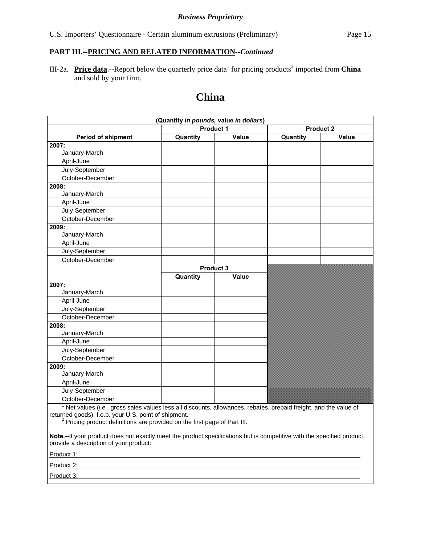#### **PART III.--PRICING AND RELATED INFORMATION***--Continued*

III-2a. Price data.--Report below the quarterly price data<sup>1</sup> for pricing products<sup>2</sup> imported from China and sold by your firm.

# **China**

|                                                                                                                                                                                          | (Quantity in pounds, value in dollars) |       |                  |       |
|------------------------------------------------------------------------------------------------------------------------------------------------------------------------------------------|----------------------------------------|-------|------------------|-------|
|                                                                                                                                                                                          | <b>Product 1</b>                       |       | <b>Product 2</b> |       |
| <b>Period of shipment</b>                                                                                                                                                                | Quantity                               | Value | Quantity         | Value |
| 2007:                                                                                                                                                                                    |                                        |       |                  |       |
| January-March                                                                                                                                                                            |                                        |       |                  |       |
| April-June                                                                                                                                                                               |                                        |       |                  |       |
| July-September                                                                                                                                                                           |                                        |       |                  |       |
| October-December                                                                                                                                                                         |                                        |       |                  |       |
| 2008:                                                                                                                                                                                    |                                        |       |                  |       |
| January-March                                                                                                                                                                            |                                        |       |                  |       |
| April-June                                                                                                                                                                               |                                        |       |                  |       |
| July-September                                                                                                                                                                           |                                        |       |                  |       |
| October-December                                                                                                                                                                         |                                        |       |                  |       |
| 2009:                                                                                                                                                                                    |                                        |       |                  |       |
| January-March                                                                                                                                                                            |                                        |       |                  |       |
| April-June                                                                                                                                                                               |                                        |       |                  |       |
| July-September                                                                                                                                                                           |                                        |       |                  |       |
| October-December                                                                                                                                                                         |                                        |       |                  |       |
|                                                                                                                                                                                          | Product 3                              |       |                  |       |
|                                                                                                                                                                                          | Quantity                               | Value |                  |       |
| 2007:                                                                                                                                                                                    |                                        |       |                  |       |
| January-March                                                                                                                                                                            |                                        |       |                  |       |
| April-June                                                                                                                                                                               |                                        |       |                  |       |
| July-September                                                                                                                                                                           |                                        |       |                  |       |
| October-December                                                                                                                                                                         |                                        |       |                  |       |
| 2008:                                                                                                                                                                                    |                                        |       |                  |       |
| January-March                                                                                                                                                                            |                                        |       |                  |       |
| April-June                                                                                                                                                                               |                                        |       |                  |       |
| July-September                                                                                                                                                                           |                                        |       |                  |       |
| October-December                                                                                                                                                                         |                                        |       |                  |       |
| 2009:                                                                                                                                                                                    |                                        |       |                  |       |
| January-March                                                                                                                                                                            |                                        |       |                  |       |
| April-June                                                                                                                                                                               |                                        |       |                  |       |
| July-September                                                                                                                                                                           |                                        |       |                  |       |
| October-December                                                                                                                                                                         |                                        |       |                  |       |
| $1$ Net values (i.e., gross sales values less all discounts, allowances, rebates, prepaid freight, and the value of<br>$roturingod goodc)$ $f \circ b$ vour $\Box$ $S$ point of chinmont |                                        |       |                  |       |

returned goods), f.o.b. your U.S. point of shipment.<br><sup>2</sup> Pricing product definitions are provided on the first page of Part III.

**Note.--**If your product does not exactly meet the product specifications but is competitive with the specified product, provide a description of your product:

Product 1:

Product 2:

Product 3: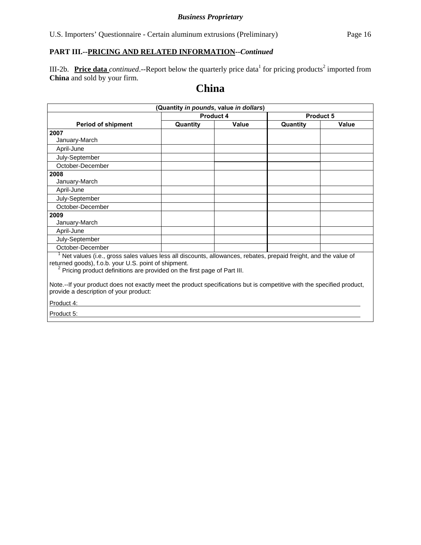U.S. Importers' Questionnaire - Certain aluminum extrusions (Preliminary) Page 16

# **PART III.--PRICING AND RELATED INFORMATION***--Continued*

III-2b. Price data *continued*.--Report below the quarterly price data<sup>1</sup> for pricing products<sup>2</sup> imported from **China** and sold by your firm.

# **China**

| (Quantity in pounds, value in dollars)                                                                                                                                                                                                                          |                   |  |                   |                  |  |  |
|-----------------------------------------------------------------------------------------------------------------------------------------------------------------------------------------------------------------------------------------------------------------|-------------------|--|-------------------|------------------|--|--|
|                                                                                                                                                                                                                                                                 | Product 4         |  |                   | <b>Product 5</b> |  |  |
| <b>Period of shipment</b>                                                                                                                                                                                                                                       | Quantity<br>Value |  | Quantity<br>Value |                  |  |  |
| 2007                                                                                                                                                                                                                                                            |                   |  |                   |                  |  |  |
| January-March                                                                                                                                                                                                                                                   |                   |  |                   |                  |  |  |
| April-June                                                                                                                                                                                                                                                      |                   |  |                   |                  |  |  |
| July-September                                                                                                                                                                                                                                                  |                   |  |                   |                  |  |  |
| October-December                                                                                                                                                                                                                                                |                   |  |                   |                  |  |  |
| 2008                                                                                                                                                                                                                                                            |                   |  |                   |                  |  |  |
| January-March                                                                                                                                                                                                                                                   |                   |  |                   |                  |  |  |
| April-June                                                                                                                                                                                                                                                      |                   |  |                   |                  |  |  |
| July-September                                                                                                                                                                                                                                                  |                   |  |                   |                  |  |  |
| October-December                                                                                                                                                                                                                                                |                   |  |                   |                  |  |  |
| 2009                                                                                                                                                                                                                                                            |                   |  |                   |                  |  |  |
| January-March                                                                                                                                                                                                                                                   |                   |  |                   |                  |  |  |
| April-June                                                                                                                                                                                                                                                      |                   |  |                   |                  |  |  |
| July-September                                                                                                                                                                                                                                                  |                   |  |                   |                  |  |  |
| October-December                                                                                                                                                                                                                                                |                   |  |                   |                  |  |  |
| Net values (i.e., gross sales values less all discounts, allowances, rebates, prepaid freight, and the value of<br>returned goods), f.o.b. your U.S. point of shipment.<br><sup>2</sup> Pricing product definitions are provided on the first page of Part III. |                   |  |                   |                  |  |  |
| Note.--If your product does not exactly meet the product specifications but is competitive with the specified product,<br>provide a description of your product:                                                                                                |                   |  |                   |                  |  |  |
| Product 4:                                                                                                                                                                                                                                                      |                   |  |                   |                  |  |  |
| Product 5:                                                                                                                                                                                                                                                      |                   |  |                   |                  |  |  |
|                                                                                                                                                                                                                                                                 |                   |  |                   |                  |  |  |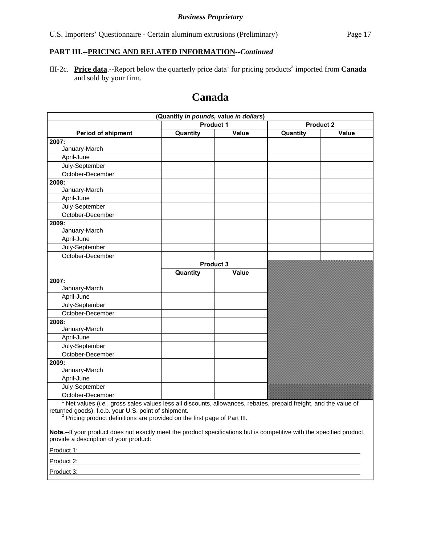# **PART III.--PRICING AND RELATED INFORMATION***--Continued*

III-2c. **Price data**.--Report below the quarterly price data<sup>1</sup> for pricing products<sup>2</sup> imported from **Canada** and sold by your firm.

# **Canada**

|                                                                                                                                                                                                                                                                 | (Quantity in pounds, value in dollars) |           |                  |       |
|-----------------------------------------------------------------------------------------------------------------------------------------------------------------------------------------------------------------------------------------------------------------|----------------------------------------|-----------|------------------|-------|
| <b>Product 1</b>                                                                                                                                                                                                                                                |                                        |           | <b>Product 2</b> |       |
| <b>Period of shipment</b>                                                                                                                                                                                                                                       | Quantity                               | Value     | Quantity         | Value |
| 2007:                                                                                                                                                                                                                                                           |                                        |           |                  |       |
| January-March                                                                                                                                                                                                                                                   |                                        |           |                  |       |
| April-June                                                                                                                                                                                                                                                      |                                        |           |                  |       |
| July-September                                                                                                                                                                                                                                                  |                                        |           |                  |       |
| October-December                                                                                                                                                                                                                                                |                                        |           |                  |       |
| 2008:                                                                                                                                                                                                                                                           |                                        |           |                  |       |
| January-March                                                                                                                                                                                                                                                   |                                        |           |                  |       |
| April-June                                                                                                                                                                                                                                                      |                                        |           |                  |       |
| July-September                                                                                                                                                                                                                                                  |                                        |           |                  |       |
| October-December                                                                                                                                                                                                                                                |                                        |           |                  |       |
| 2009:                                                                                                                                                                                                                                                           |                                        |           |                  |       |
| January-March                                                                                                                                                                                                                                                   |                                        |           |                  |       |
| April-June                                                                                                                                                                                                                                                      |                                        |           |                  |       |
| July-September                                                                                                                                                                                                                                                  |                                        |           |                  |       |
| October-December                                                                                                                                                                                                                                                |                                        |           |                  |       |
|                                                                                                                                                                                                                                                                 |                                        | Product 3 |                  |       |
|                                                                                                                                                                                                                                                                 | Quantity                               | Value     |                  |       |
| 2007:                                                                                                                                                                                                                                                           |                                        |           |                  |       |
| January-March                                                                                                                                                                                                                                                   |                                        |           |                  |       |
| April-June                                                                                                                                                                                                                                                      |                                        |           |                  |       |
| July-September                                                                                                                                                                                                                                                  |                                        |           |                  |       |
| October-December                                                                                                                                                                                                                                                |                                        |           |                  |       |
| 2008:                                                                                                                                                                                                                                                           |                                        |           |                  |       |
| January-March                                                                                                                                                                                                                                                   |                                        |           |                  |       |
| April-June                                                                                                                                                                                                                                                      |                                        |           |                  |       |
| July-September                                                                                                                                                                                                                                                  |                                        |           |                  |       |
| October-December                                                                                                                                                                                                                                                |                                        |           |                  |       |
| 2009:                                                                                                                                                                                                                                                           |                                        |           |                  |       |
| January-March                                                                                                                                                                                                                                                   |                                        |           |                  |       |
| April-June                                                                                                                                                                                                                                                      |                                        |           |                  |       |
| July-September                                                                                                                                                                                                                                                  |                                        |           |                  |       |
| October-December                                                                                                                                                                                                                                                |                                        |           |                  |       |
| Net values (i.e., gross sales values less all discounts, allowances, rebates, prepaid freight, and the value of<br>returned goods), f.o.b. your U.S. point of shipment.<br><sup>2</sup> Pricing product definitions are provided on the first page of Part III. |                                        |           |                  |       |
| Note.--If your product does not exactly meet the product specifications but is competitive with the specified product,<br>provide a description of your product:                                                                                                |                                        |           |                  |       |
| Product 1: All and the state of the state of the state of the state of the state of the state of the state of                                                                                                                                                   |                                        |           |                  |       |
| Product 2: Product 2:                                                                                                                                                                                                                                           |                                        |           |                  |       |
| Product 3:                                                                                                                                                                                                                                                      |                                        |           |                  |       |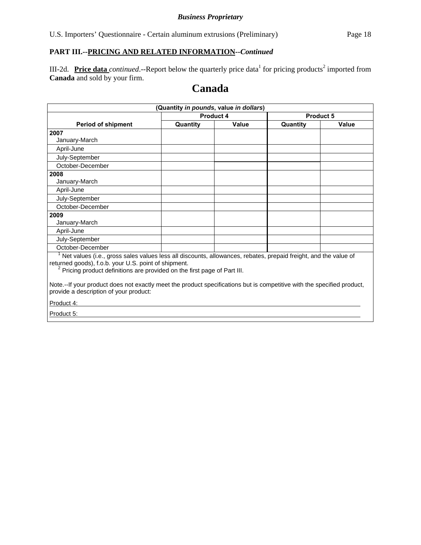# **PART III.--PRICING AND RELATED INFORMATION***--Continued*

III-2d. Price data *continued*.--Report below the quarterly price data<sup>1</sup> for pricing products<sup>2</sup> imported from **Canada** and sold by your firm.

# **Canada**

| (Quantity in pounds, value in dollars)                                                                                                                                                                                                                              |           |       |                   |           |  |  |
|---------------------------------------------------------------------------------------------------------------------------------------------------------------------------------------------------------------------------------------------------------------------|-----------|-------|-------------------|-----------|--|--|
|                                                                                                                                                                                                                                                                     | Product 4 |       |                   | Product 5 |  |  |
| <b>Period of shipment</b>                                                                                                                                                                                                                                           | Quantity  | Value | Quantity<br>Value |           |  |  |
| 2007                                                                                                                                                                                                                                                                |           |       |                   |           |  |  |
| January-March                                                                                                                                                                                                                                                       |           |       |                   |           |  |  |
| April-June                                                                                                                                                                                                                                                          |           |       |                   |           |  |  |
| July-September                                                                                                                                                                                                                                                      |           |       |                   |           |  |  |
| October-December                                                                                                                                                                                                                                                    |           |       |                   |           |  |  |
| 2008                                                                                                                                                                                                                                                                |           |       |                   |           |  |  |
| January-March                                                                                                                                                                                                                                                       |           |       |                   |           |  |  |
| April-June                                                                                                                                                                                                                                                          |           |       |                   |           |  |  |
| July-September                                                                                                                                                                                                                                                      |           |       |                   |           |  |  |
| October-December                                                                                                                                                                                                                                                    |           |       |                   |           |  |  |
| 2009                                                                                                                                                                                                                                                                |           |       |                   |           |  |  |
| January-March                                                                                                                                                                                                                                                       |           |       |                   |           |  |  |
| April-June                                                                                                                                                                                                                                                          |           |       |                   |           |  |  |
| July-September                                                                                                                                                                                                                                                      |           |       |                   |           |  |  |
| October-December                                                                                                                                                                                                                                                    |           |       |                   |           |  |  |
| $1$ Net values (i.e., gross sales values less all discounts, allowances, rebates, prepaid freight, and the value of<br>returned goods), f.o.b. your U.S. point of shipment.<br><sup>2</sup> Pricing product definitions are provided on the first page of Part III. |           |       |                   |           |  |  |
| Note.--If your product does not exactly meet the product specifications but is competitive with the specified product,<br>provide a description of your product:                                                                                                    |           |       |                   |           |  |  |
| Product 4:                                                                                                                                                                                                                                                          |           |       |                   |           |  |  |
| Product 5:                                                                                                                                                                                                                                                          |           |       |                   |           |  |  |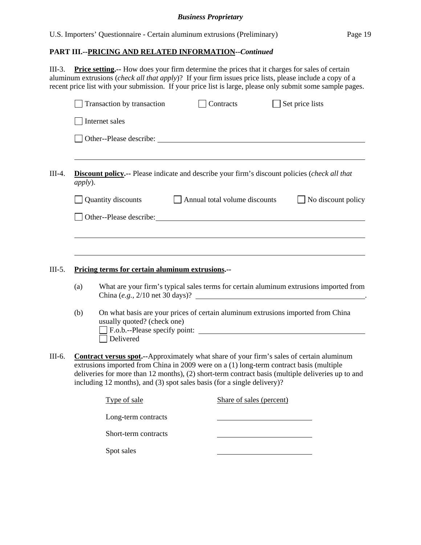# **PART III.--PRICING AND RELATED INFORMATION***--Continued*

III-3. **Price setting.--** How does your firm determine the prices that it charges for sales of certain aluminum extrusions (*check all that apply*)? If your firm issues price lists, please include a copy of a recent price list with your submission. If your price list is large, please only submit some sample pages.

|            | Transaction by transaction                                              | Contracts                     | Set price lists                                                                                       |
|------------|-------------------------------------------------------------------------|-------------------------------|-------------------------------------------------------------------------------------------------------|
|            | Internet sales                                                          |                               |                                                                                                       |
|            |                                                                         |                               |                                                                                                       |
| apply).    |                                                                         |                               | <b>Discount policy.</b> -- Please indicate and describe your firm's discount policies (check all that |
|            | Quantity discounts                                                      | Annual total volume discounts | $\Box$ No discount policy                                                                             |
|            | Other-Please describe:                                                  |                               |                                                                                                       |
|            |                                                                         |                               |                                                                                                       |
|            |                                                                         |                               |                                                                                                       |
|            |                                                                         |                               |                                                                                                       |
|            |                                                                         |                               |                                                                                                       |
|            | Pricing terms for certain aluminum extrusions.--                        |                               |                                                                                                       |
|            |                                                                         |                               | China $(e.g., 2/10$ net 30 days)?                                                                     |
| (a)<br>(b) |                                                                         |                               | On what basis are your prices of certain aluminum extrusions imported from China                      |
|            | usually quoted? (check one)                                             |                               | F.o.b.--Please specify point:                                                                         |
|            | Delivered                                                               |                               |                                                                                                       |
|            |                                                                         |                               | <b>Contract versus spot.</b> --Approximately what share of your firm's sales of certain aluminum      |
|            |                                                                         |                               | extrusions imported from China in 2009 were on a (1) long-term contract basis (multiple               |
|            | including 12 months), and (3) spot sales basis (for a single delivery)? |                               |                                                                                                       |
|            | Type of sale                                                            | Share of sales (percent)      | deliveries for more than 12 months), (2) short-term contract basis (multiple deliveries up to and     |
|            | Long-term contracts                                                     |                               | What are your firm's typical sales terms for certain aluminum extrusions imported from                |

Spot sales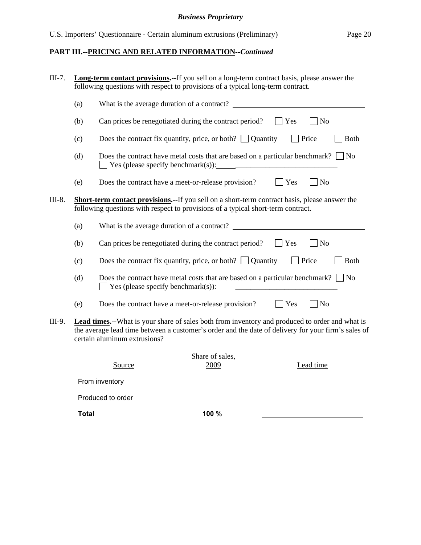# **PART III.--PRICING AND RELATED INFORMATION***--Continued*

| $III-7.$ | <b>Long-term contact provisions.</b> --If you sell on a long-term contract basis, please answer the<br>following questions with respect to provisions of a typical long-term contract. |                                                                                                                                                                                                                                              |  |  |  |  |
|----------|----------------------------------------------------------------------------------------------------------------------------------------------------------------------------------------|----------------------------------------------------------------------------------------------------------------------------------------------------------------------------------------------------------------------------------------------|--|--|--|--|
|          | (a)                                                                                                                                                                                    | What is the average duration of a contract?                                                                                                                                                                                                  |  |  |  |  |
|          | (b)                                                                                                                                                                                    | Can prices be renegotiated during the contract period?<br>Yes<br>N <sub>o</sub>                                                                                                                                                              |  |  |  |  |
|          | (c)                                                                                                                                                                                    | Does the contract fix quantity, price, or both? $\Box$ Quantity<br>Price<br><b>Both</b>                                                                                                                                                      |  |  |  |  |
|          | (d)                                                                                                                                                                                    | Does the contract have metal costs that are based on a particular benchmark? $\Box$ No                                                                                                                                                       |  |  |  |  |
|          | (e)                                                                                                                                                                                    | Yes<br>N <sub>o</sub><br>Does the contract have a meet-or-release provision?                                                                                                                                                                 |  |  |  |  |
| III-8.   |                                                                                                                                                                                        | <b>Short-term contact provisions.</b> --If you sell on a short-term contract basis, please answer the<br>following questions with respect to provisions of a typical short-term contract.                                                    |  |  |  |  |
|          | (a)                                                                                                                                                                                    | What is the average duration of a contract?                                                                                                                                                                                                  |  |  |  |  |
|          | (b)                                                                                                                                                                                    | Can prices be renegotiated during the contract period?<br>Yes<br>N <sub>o</sub>                                                                                                                                                              |  |  |  |  |
|          | (c)                                                                                                                                                                                    | Does the contract fix quantity, price, or both? $\Box$ Quantity<br><b>Price</b><br><b>Both</b>                                                                                                                                               |  |  |  |  |
|          | (d)                                                                                                                                                                                    | Does the contract have metal costs that are based on a particular benchmark? $\Box$ No                                                                                                                                                       |  |  |  |  |
|          | (e)                                                                                                                                                                                    | Yes<br>N <sub>o</sub><br>Does the contract have a meet-or-release provision?                                                                                                                                                                 |  |  |  |  |
| III-9.   |                                                                                                                                                                                        | <b>Lead times.</b> --What is your share of sales both from inventory and produced to order and what is<br>the average lead time between a customer's order and the date of delivery for your firm's sales of<br>certain aluminum extrusions? |  |  |  |  |
|          |                                                                                                                                                                                        | Share of sales,<br>Lead time<br>Source<br>2009                                                                                                                                                                                               |  |  |  |  |
|          |                                                                                                                                                                                        | From inventory                                                                                                                                                                                                                               |  |  |  |  |
|          |                                                                                                                                                                                        | Produced to order                                                                                                                                                                                                                            |  |  |  |  |

**Total 100 %**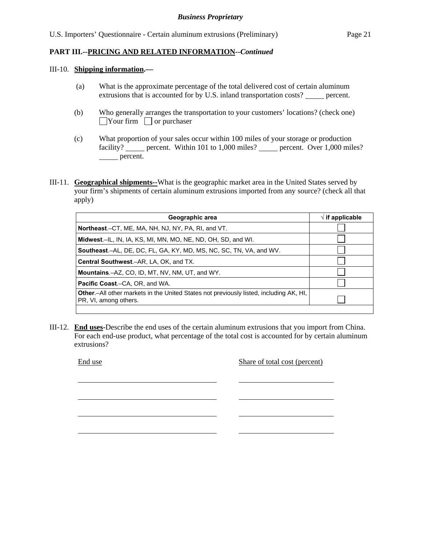#### III-10. **Shipping information.—**

- (a) What is the approximate percentage of the total delivered cost of certain aluminum extrusions that is accounted for by U.S. inland transportation costs? percent.
- (b) Who generally arranges the transportation to your customers' locations? (check one)  $\Box$ Your firm  $\Box$  or purchaser
- (c) What proportion of your sales occur within 100 miles of your storage or production facility? percent. Within 101 to 1,000 miles? percent. Over 1,000 miles? percent.
- III-11. **Geographical shipments--**What is the geographic market area in the United States served by your firm's shipments of certain aluminum extrusions imported from any source? (check all that apply)

| Geographic area                                                                                                         | $\sqrt{ }$ if applicable |
|-------------------------------------------------------------------------------------------------------------------------|--------------------------|
| Northeast.–CT, ME, MA, NH, NJ, NY, PA, RI, and VT.                                                                      |                          |
| Midwest.–IL, IN, IA, KS, MI, MN, MO, NE, ND, OH, SD, and WI.                                                            |                          |
| Southeast.–AL, DE, DC, FL, GA, KY, MD, MS, NC, SC, TN, VA, and WV.                                                      |                          |
| Central Southwest.-AR, LA, OK, and TX.                                                                                  |                          |
| <b>Mountains.-AZ, CO, ID, MT, NV, NM, UT, and WY.</b>                                                                   |                          |
| <b>Pacific Coast.–C</b> A, OR, and WA.                                                                                  |                          |
| <b>Other</b> .—All other markets in the United States not previously listed, including AK, HI,<br>PR, VI, among others. |                          |
|                                                                                                                         |                          |

III-12. **End uses-**Describe the end uses of the certain aluminum extrusions that you import from China. For each end-use product, what percentage of the total cost is accounted for by certain aluminum extrusions?

l

l

l

l

End use Share of total cost (percent)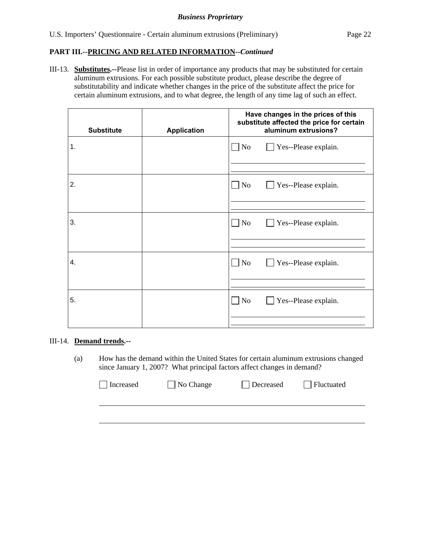III-13. **Substitutes.--**Please list in order of importance any products that may be substituted for certain aluminum extrusions. For each possible substitute product, please describe the degree of substitutability and indicate whether changes in the price of the substitute affect the price for certain aluminum extrusions, and to what degree, the length of any time lag of such an effect.

| <b>Substitute</b> | <b>Application</b> | Have changes in the prices of this<br>substitute affected the price for certain<br>aluminum extrusions? |  |  |
|-------------------|--------------------|---------------------------------------------------------------------------------------------------------|--|--|
| 1.                |                    | No<br>Yes--Please explain.                                                                              |  |  |
| 2.                |                    | No<br>Yes--Please explain.<br>$\blacksquare$                                                            |  |  |
| 3.                |                    | $\Box$ No<br>Yes--Please explain.                                                                       |  |  |
| 4.                |                    | No<br>Yes--Please explain.<br><b>College</b>                                                            |  |  |
| 5.                |                    | No<br>Yes--Please explain.                                                                              |  |  |

## III-14. **Demand trends.--**

(a) How has the demand within the United States for certain aluminum extrusions changed since January 1, 2007? What principal factors affect changes in demand?

| Increased | $\Box$ No Change | Decreased | <b>Fluctuated</b> |
|-----------|------------------|-----------|-------------------|
|           |                  |           |                   |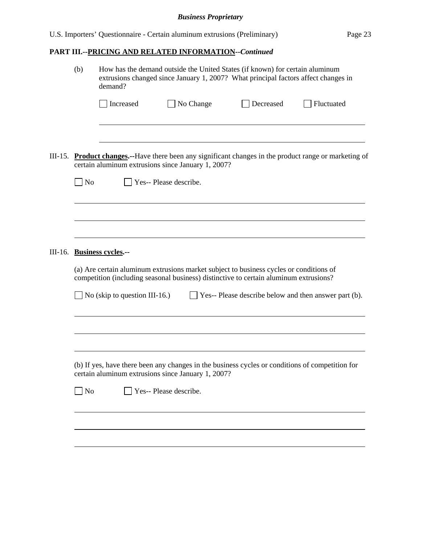# **PART III.--PRICING AND RELATED INFORMATION***--Continued*

|         | (b)       | How has the demand outside the United States (if known) for certain aluminum<br>extrusions changed since January 1, 2007? What principal factors affect changes in<br>demand? |                        |           |                                                                                                                                                                                 |                                                                                                        |  |
|---------|-----------|-------------------------------------------------------------------------------------------------------------------------------------------------------------------------------|------------------------|-----------|---------------------------------------------------------------------------------------------------------------------------------------------------------------------------------|--------------------------------------------------------------------------------------------------------|--|
|         |           | Increased                                                                                                                                                                     |                        | No Change | Decreased                                                                                                                                                                       | Fluctuated                                                                                             |  |
| III-15. | $\Box$ No | certain aluminum extrusions since January 1, 2007?                                                                                                                            | Yes-- Please describe. |           |                                                                                                                                                                                 | <b>Product changes.</b> --Have there been any significant changes in the product range or marketing of |  |
|         |           |                                                                                                                                                                               |                        |           |                                                                                                                                                                                 |                                                                                                        |  |
| III-16. |           | <b>Business cycles.--</b><br>No (skip to question III-16.)                                                                                                                    |                        |           | (a) Are certain aluminum extrusions market subject to business cycles or conditions of<br>competition (including seasonal business) distinctive to certain aluminum extrusions? | $\Box$ Yes-- Please describe below and then answer part (b).                                           |  |
|         |           |                                                                                                                                                                               |                        |           |                                                                                                                                                                                 |                                                                                                        |  |
|         |           | certain aluminum extrusions since January 1, 2007?                                                                                                                            |                        |           | (b) If yes, have there been any changes in the business cycles or conditions of competition for                                                                                 |                                                                                                        |  |
|         | $\Box$ No |                                                                                                                                                                               | Yes-- Please describe. |           |                                                                                                                                                                                 |                                                                                                        |  |
|         |           |                                                                                                                                                                               |                        |           |                                                                                                                                                                                 |                                                                                                        |  |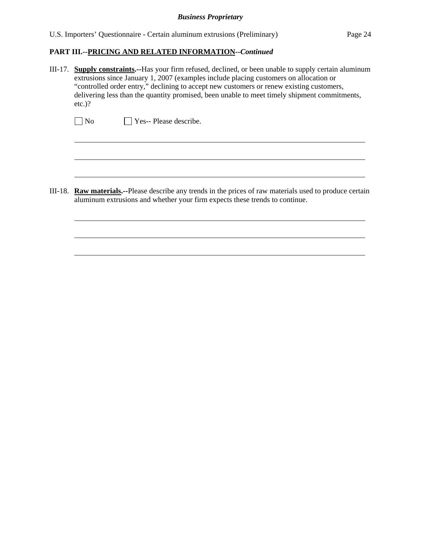U.S. Importers' Questionnaire - Certain aluminum extrusions (Preliminary) Page 24

## **PART III.--PRICING AND RELATED INFORMATION***--Continued*

III-17. **Supply constraints.--**Has your firm refused, declined, or been unable to supply certain aluminum extrusions since January 1, 2007 (examples include placing customers on allocation or "controlled order entry," declining to accept new customers or renew existing customers, delivering less than the quantity promised, been unable to meet timely shipment commitments, etc.)?

|  | ] No |  |  |  | $\Box$ Yes-- Please describe. |
|--|------|--|--|--|-------------------------------|
|--|------|--|--|--|-------------------------------|

 $\overline{a}$ 

l

III-18. **Raw materials.--**Please describe any trends in the prices of raw materials used to produce certain aluminum extrusions and whether your firm expects these trends to continue.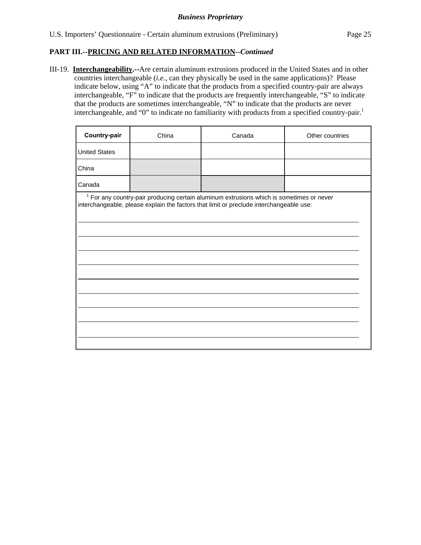III-19. **Interchangeability.--**Are certain aluminum extrusions produced in the United States and in other countries interchangeable (*i.e.*, can they physically be used in the same applications)? Please indicate below, using "A" to indicate that the products from a specified country-pair are always interchangeable, "F" to indicate that the products are frequently interchangeable, "S" to indicate that the products are sometimes interchangeable, "N" to indicate that the products are never interchangeable, and "0" to indicate no familiarity with products from a specified country-pair.<sup>1</sup>

| Country-pair                                                                                                                                                                                   | China | Canada | Other countries |  |  |  |
|------------------------------------------------------------------------------------------------------------------------------------------------------------------------------------------------|-------|--------|-----------------|--|--|--|
| <b>United States</b>                                                                                                                                                                           |       |        |                 |  |  |  |
| China                                                                                                                                                                                          |       |        |                 |  |  |  |
| Canada                                                                                                                                                                                         |       |        |                 |  |  |  |
| <sup>1</sup> For any country-pair producing certain aluminum extrusions which is sometimes or never<br>interchangeable, please explain the factors that limit or preclude interchangeable use: |       |        |                 |  |  |  |
|                                                                                                                                                                                                |       |        |                 |  |  |  |
|                                                                                                                                                                                                |       |        |                 |  |  |  |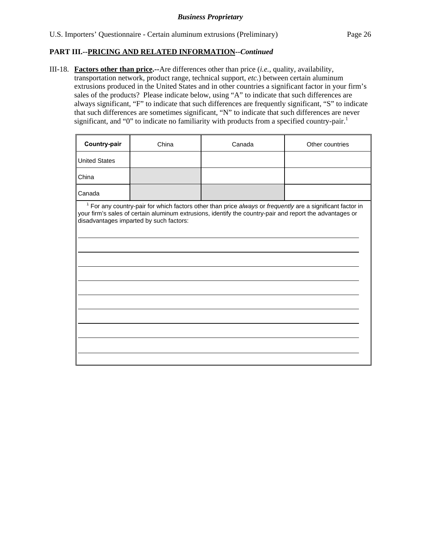III-18. **Factors other than price.--**Are differences other than price (*i.e.*, quality, availability, transportation network, product range, technical support, *etc.*) between certain aluminum extrusions produced in the United States and in other countries a significant factor in your firm's sales of the products? Please indicate below, using "A" to indicate that such differences are always significant, "F" to indicate that such differences are frequently significant, "S" to indicate that such differences are sometimes significant, "N" to indicate that such differences are never significant, and "0" to indicate no familiarity with products from a specified country-pair.<sup>1</sup>

| Country-pair                                                                                                                                                                                                                                                                 | China | Canada | Other countries |  |  |  |
|------------------------------------------------------------------------------------------------------------------------------------------------------------------------------------------------------------------------------------------------------------------------------|-------|--------|-----------------|--|--|--|
| <b>United States</b>                                                                                                                                                                                                                                                         |       |        |                 |  |  |  |
| China                                                                                                                                                                                                                                                                        |       |        |                 |  |  |  |
| Canada                                                                                                                                                                                                                                                                       |       |        |                 |  |  |  |
| <sup>1</sup> For any country-pair for which factors other than price always or frequently are a significant factor in<br>your firm's sales of certain aluminum extrusions, identify the country-pair and report the advantages or<br>disadvantages imparted by such factors: |       |        |                 |  |  |  |